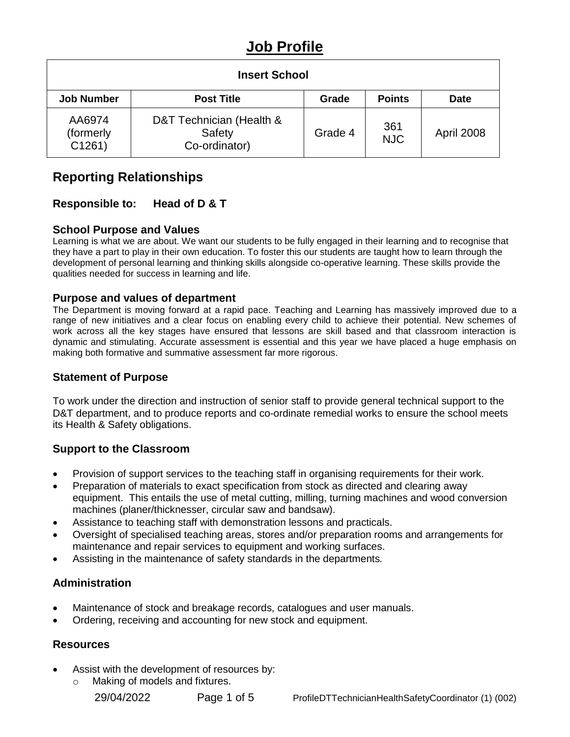# **Job Profile**

| <b>Insert School</b>           |                                                     |         |                   |                   |  |
|--------------------------------|-----------------------------------------------------|---------|-------------------|-------------------|--|
| <b>Job Number</b>              | <b>Post Title</b>                                   | Grade   | <b>Points</b>     | Date              |  |
| AA6974<br>(formerly)<br>C1261) | D&T Technician (Health &<br>Safety<br>Co-ordinator) | Grade 4 | 361<br><b>NJC</b> | <b>April 2008</b> |  |

# **Reporting Relationships**

# **Responsible to: Head of D & T**

## **School Purpose and Values**

Learning is what we are about. We want our students to be fully engaged in their learning and to recognise that they have a part to play in their own education. To foster this our students are taught how to learn through the development of personal learning and thinking skills alongside co-operative learning. These skills provide the qualities needed for success in learning and life.

## **Purpose and values of department**

The Department is moving forward at a rapid pace. Teaching and Learning has massively improved due to a range of new initiatives and a clear focus on enabling every child to achieve their potential. New schemes of work across all the key stages have ensured that lessons are skill based and that classroom interaction is dynamic and stimulating. Accurate assessment is essential and this year we have placed a huge emphasis on making both formative and summative assessment far more rigorous.

#### **Statement of Purpose**

To work under the direction and instruction of senior staff to provide general technical support to the D&T department, and to produce reports and co-ordinate remedial works to ensure the school meets its Health & Safety obligations.

# **Support to the Classroom**

- Provision of support services to the teaching staff in organising requirements for their work.
- Preparation of materials to exact specification from stock as directed and clearing away equipment. This entails the use of metal cutting, milling, turning machines and wood conversion machines (planer/thicknesser, circular saw and bandsaw).
- Assistance to teaching staff with demonstration lessons and practicals.
- Oversight of specialised teaching areas, stores and/or preparation rooms and arrangements for maintenance and repair services to equipment and working surfaces.
- Assisting in the maintenance of safety standards in the departments*.*

# **Administration**

- Maintenance of stock and breakage records, catalogues and user manuals.
- Ordering, receiving and accounting for new stock and equipment.

#### **Resources**

- Assist with the development of resources by:
	- o Making of models and fixtures.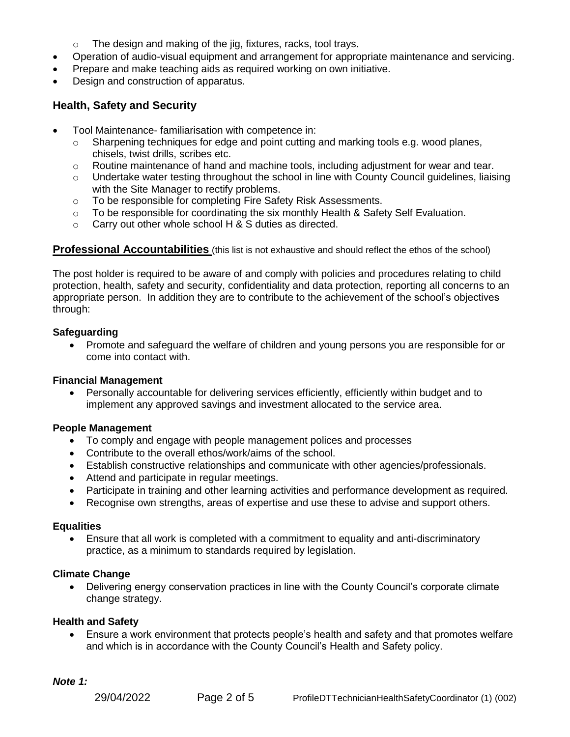- o The design and making of the jig, fixtures, racks, tool trays.
- Operation of audio-visual equipment and arrangement for appropriate maintenance and servicing.
- Prepare and make teaching aids as required working on own initiative.
- Design and construction of apparatus.

# **Health, Safety and Security**

- Tool Maintenance- familiarisation with competence in:
	- $\circ$  Sharpening techniques for edge and point cutting and marking tools e.g. wood planes, chisels, twist drills, scribes etc.
	- $\circ$  Routine maintenance of hand and machine tools, including adjustment for wear and tear.
	- $\circ$  Undertake water testing throughout the school in line with County Council guidelines, liaising with the Site Manager to rectify problems.
	- o To be responsible for completing Fire Safety Risk Assessments.
	- $\circ$  To be responsible for coordinating the six monthly Health & Safety Self Evaluation.
	- o Carry out other whole school H & S duties as directed.

#### **Professional Accountabilities** (this list is not exhaustive and should reflect the ethos of the school)

The post holder is required to be aware of and comply with policies and procedures relating to child protection, health, safety and security, confidentiality and data protection, reporting all concerns to an appropriate person. In addition they are to contribute to the achievement of the school's objectives through:

## **Safeguarding**

• Promote and safeguard the welfare of children and young persons you are responsible for or come into contact with.

#### **Financial Management**

• Personally accountable for delivering services efficiently, efficiently within budget and to implement any approved savings and investment allocated to the service area.

#### **People Management**

- To comply and engage with people management polices and processes
- Contribute to the overall ethos/work/aims of the school.
- Establish constructive relationships and communicate with other agencies/professionals.
- Attend and participate in regular meetings.
- Participate in training and other learning activities and performance development as required.
- Recognise own strengths, areas of expertise and use these to advise and support others.

#### **Equalities**

• Ensure that all work is completed with a commitment to equality and anti-discriminatory practice, as a minimum to standards required by legislation.

#### **Climate Change**

• Delivering energy conservation practices in line with the County Council's corporate climate change strategy.

#### **Health and Safety**

• Ensure a work environment that protects people's health and safety and that promotes welfare and which is in accordance with the County Council's Health and Safety policy.

#### *Note 1:*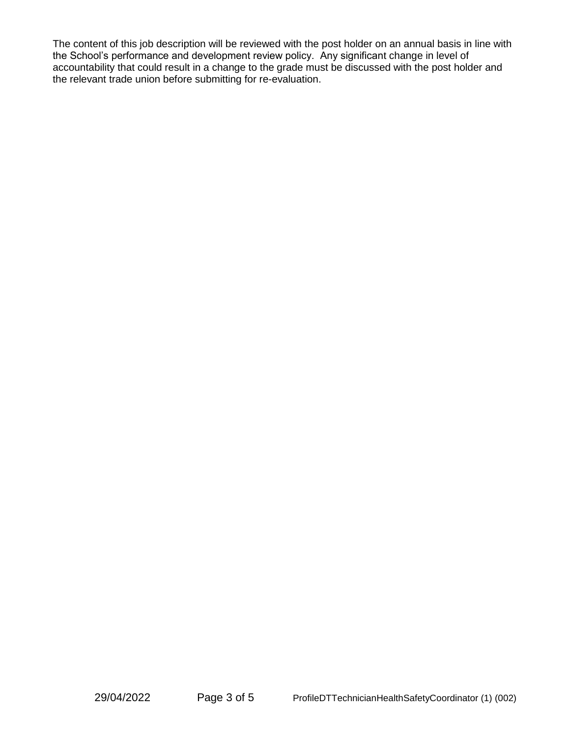The content of this job description will be reviewed with the post holder on an annual basis in line with the School's performance and development review policy. Any significant change in level of accountability that could result in a change to the grade must be discussed with the post holder and the relevant trade union before submitting for re-evaluation.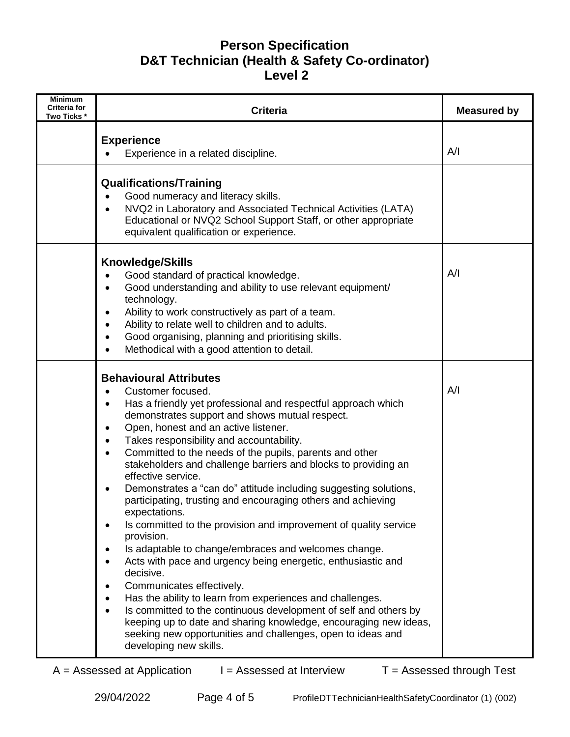# **Person Specification D&T Technician (Health & Safety Co-ordinator) Level 2**

| <b>Minimum</b><br><b>Criteria for</b><br>Two Ticks * | <b>Criteria</b>                                                                                                                                                                                                                                                                                                                                                                                                                                                                                                                                                                                                                                                                                                                                                                                                                                                                                                                                                                                                                                                                                                                                                                                                                    | <b>Measured by</b> |
|------------------------------------------------------|------------------------------------------------------------------------------------------------------------------------------------------------------------------------------------------------------------------------------------------------------------------------------------------------------------------------------------------------------------------------------------------------------------------------------------------------------------------------------------------------------------------------------------------------------------------------------------------------------------------------------------------------------------------------------------------------------------------------------------------------------------------------------------------------------------------------------------------------------------------------------------------------------------------------------------------------------------------------------------------------------------------------------------------------------------------------------------------------------------------------------------------------------------------------------------------------------------------------------------|--------------------|
|                                                      | <b>Experience</b>                                                                                                                                                                                                                                                                                                                                                                                                                                                                                                                                                                                                                                                                                                                                                                                                                                                                                                                                                                                                                                                                                                                                                                                                                  |                    |
|                                                      | Experience in a related discipline.                                                                                                                                                                                                                                                                                                                                                                                                                                                                                                                                                                                                                                                                                                                                                                                                                                                                                                                                                                                                                                                                                                                                                                                                | A/I                |
|                                                      | <b>Qualifications/Training</b><br>Good numeracy and literacy skills.<br>NVQ2 in Laboratory and Associated Technical Activities (LATA)                                                                                                                                                                                                                                                                                                                                                                                                                                                                                                                                                                                                                                                                                                                                                                                                                                                                                                                                                                                                                                                                                              |                    |
|                                                      | Educational or NVQ2 School Support Staff, or other appropriate<br>equivalent qualification or experience.                                                                                                                                                                                                                                                                                                                                                                                                                                                                                                                                                                                                                                                                                                                                                                                                                                                                                                                                                                                                                                                                                                                          |                    |
|                                                      | <b>Knowledge/Skills</b><br>Good standard of practical knowledge.<br>Good understanding and ability to use relevant equipment/<br>technology.<br>Ability to work constructively as part of a team.<br>$\bullet$<br>Ability to relate well to children and to adults.<br>$\bullet$<br>Good organising, planning and prioritising skills.<br>$\bullet$<br>Methodical with a good attention to detail.                                                                                                                                                                                                                                                                                                                                                                                                                                                                                                                                                                                                                                                                                                                                                                                                                                 | A/I                |
|                                                      | <b>Behavioural Attributes</b><br>Customer focused.<br>$\bullet$<br>Has a friendly yet professional and respectful approach which<br>$\bullet$<br>demonstrates support and shows mutual respect.<br>Open, honest and an active listener.<br>$\bullet$<br>Takes responsibility and accountability.<br>$\bullet$<br>Committed to the needs of the pupils, parents and other<br>$\bullet$<br>stakeholders and challenge barriers and blocks to providing an<br>effective service.<br>Demonstrates a "can do" attitude including suggesting solutions,<br>٠<br>participating, trusting and encouraging others and achieving<br>expectations.<br>Is committed to the provision and improvement of quality service<br>$\bullet$<br>provision.<br>Is adaptable to change/embraces and welcomes change.<br>Acts with pace and urgency being energetic, enthusiastic and<br>٠<br>decisive.<br>Communicates effectively.<br>٠<br>Has the ability to learn from experiences and challenges.<br>٠<br>Is committed to the continuous development of self and others by<br>$\bullet$<br>keeping up to date and sharing knowledge, encouraging new ideas,<br>seeking new opportunities and challenges, open to ideas and<br>developing new skills. | A/I                |

 $A =$  Assessed at Application  $I =$  Assessed at Interview  $T =$  Assessed through Test